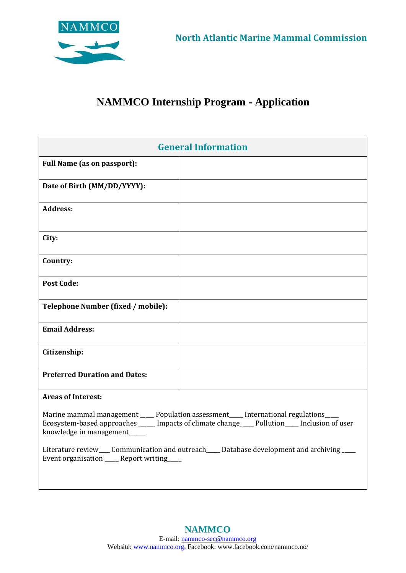

## **NAMMCO Internship Program - Application**

| <b>General Information</b>                                                                                                                                                                                                      |  |  |
|---------------------------------------------------------------------------------------------------------------------------------------------------------------------------------------------------------------------------------|--|--|
| <b>Full Name (as on passport):</b>                                                                                                                                                                                              |  |  |
| Date of Birth (MM/DD/YYYY):                                                                                                                                                                                                     |  |  |
| <b>Address:</b>                                                                                                                                                                                                                 |  |  |
| City:                                                                                                                                                                                                                           |  |  |
| Country:                                                                                                                                                                                                                        |  |  |
| <b>Post Code:</b>                                                                                                                                                                                                               |  |  |
| Telephone Number (fixed / mobile):                                                                                                                                                                                              |  |  |
| <b>Email Address:</b>                                                                                                                                                                                                           |  |  |
| Citizenship:                                                                                                                                                                                                                    |  |  |
| <b>Preferred Duration and Dates:</b>                                                                                                                                                                                            |  |  |
| <b>Areas of Interest:</b>                                                                                                                                                                                                       |  |  |
| Marine mammal management _____ Population assessment _____ International regulations _____<br>Ecosystem-based approaches ______ Impacts of climate change_____ Pollution _____ Inclusion of user<br>knowledge in management____ |  |  |
| Literature review___ Communication and outreach____ Database development and archiving ___<br>Event organisation ____ Report writing                                                                                            |  |  |
|                                                                                                                                                                                                                                 |  |  |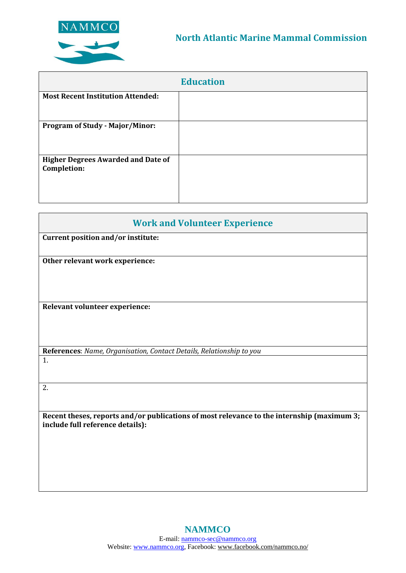

|                                                          | <b>Education</b> |
|----------------------------------------------------------|------------------|
| <b>Most Recent Institution Attended:</b>                 |                  |
| <b>Program of Study - Major/Minor:</b>                   |                  |
| <b>Higher Degrees Awarded and Date of</b><br>Completion: |                  |

| <b>Work and Volunteer Experience</b>                                                                                           |  |  |
|--------------------------------------------------------------------------------------------------------------------------------|--|--|
| Current position and/or institute:                                                                                             |  |  |
|                                                                                                                                |  |  |
| Other relevant work experience:                                                                                                |  |  |
|                                                                                                                                |  |  |
|                                                                                                                                |  |  |
|                                                                                                                                |  |  |
| Relevant volunteer experience:                                                                                                 |  |  |
|                                                                                                                                |  |  |
|                                                                                                                                |  |  |
| References: Name, Organisation, Contact Details, Relationship to you                                                           |  |  |
| 1.                                                                                                                             |  |  |
|                                                                                                                                |  |  |
| 2.                                                                                                                             |  |  |
|                                                                                                                                |  |  |
|                                                                                                                                |  |  |
| Recent theses, reports and/or publications of most relevance to the internship (maximum 3;<br>include full reference details): |  |  |
|                                                                                                                                |  |  |
|                                                                                                                                |  |  |
|                                                                                                                                |  |  |
|                                                                                                                                |  |  |
|                                                                                                                                |  |  |
|                                                                                                                                |  |  |